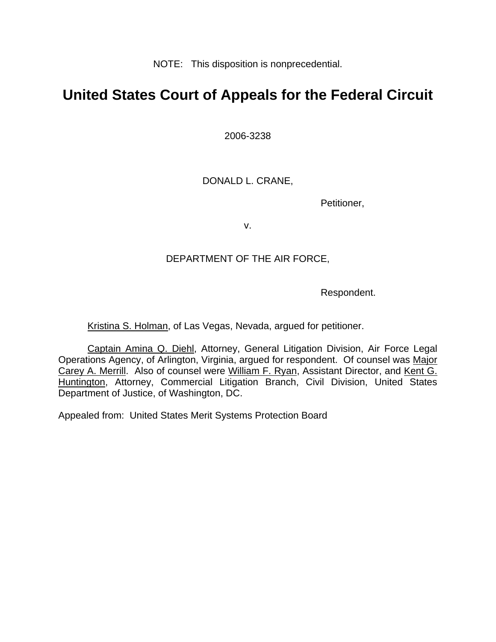NOTE: This disposition is nonprecedential.

# **United States Court of Appeals for the Federal Circuit**

2006-3238

DONALD L. CRANE,

Petitioner,

v.

### DEPARTMENT OF THE AIR FORCE,

Respondent.

Kristina S. Holman, of Las Vegas, Nevada, argued for petitioner.

Captain Amina Q. Diehl, Attorney, General Litigation Division, Air Force Legal Operations Agency, of Arlington, Virginia, argued for respondent. Of counsel was Major Carey A. Merrill. Also of counsel were William F. Ryan, Assistant Director, and Kent G. Huntington, Attorney, Commercial Litigation Branch, Civil Division, United States Department of Justice, of Washington, DC.

Appealed from: United States Merit Systems Protection Board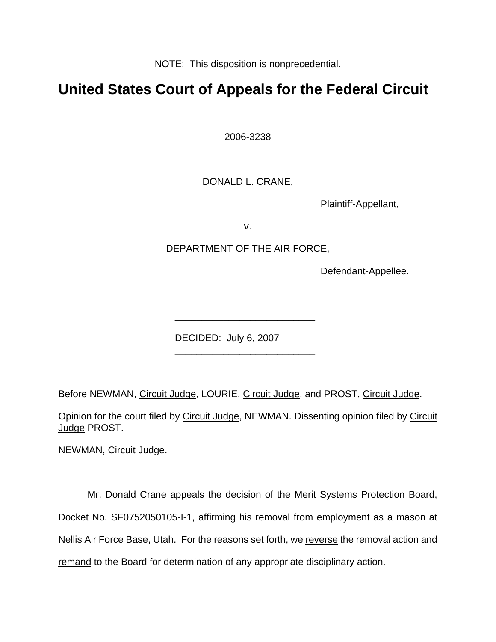NOTE: This disposition is nonprecedential.

## **United States Court of Appeals for the Federal Circuit**

2006-3238

DONALD L. CRANE,

Plaintiff-Appellant,

v.

### DEPARTMENT OF THE AIR FORCE,

\_\_\_\_\_\_\_\_\_\_\_\_\_\_\_\_\_\_\_\_\_\_\_\_\_\_

\_\_\_\_\_\_\_\_\_\_\_\_\_\_\_\_\_\_\_\_\_\_\_\_\_\_

Defendant-Appellee.

DECIDED: July 6, 2007

Before NEWMAN, Circuit Judge, LOURIE, Circuit Judge, and PROST, Circuit Judge.

Opinion for the court filed by Circuit Judge, NEWMAN. Dissenting opinion filed by Circuit Judge PROST.

NEWMAN, Circuit Judge.

Mr. Donald Crane appeals the decision of the Merit Systems Protection Board, Docket No. SF0752050105-I-1, affirming his removal from employment as a mason at Nellis Air Force Base, Utah. For the reasons set forth, we reverse the removal action and remand to the Board for determination of any appropriate disciplinary action.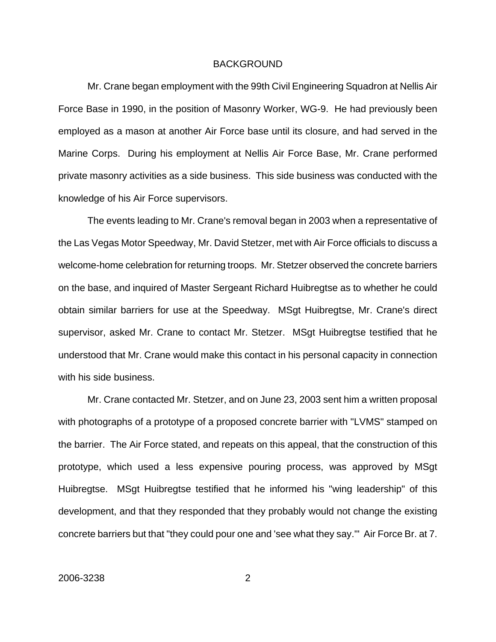#### BACKGROUND

Mr. Crane began employment with the 99th Civil Engineering Squadron at Nellis Air Force Base in 1990, in the position of Masonry Worker, WG-9. He had previously been employed as a mason at another Air Force base until its closure, and had served in the Marine Corps. During his employment at Nellis Air Force Base, Mr. Crane performed private masonry activities as a side business. This side business was conducted with the knowledge of his Air Force supervisors.

The events leading to Mr. Crane's removal began in 2003 when a representative of the Las Vegas Motor Speedway, Mr. David Stetzer, met with Air Force officials to discuss a welcome-home celebration for returning troops. Mr. Stetzer observed the concrete barriers on the base, and inquired of Master Sergeant Richard Huibregtse as to whether he could obtain similar barriers for use at the Speedway. MSgt Huibregtse, Mr. Crane's direct supervisor, asked Mr. Crane to contact Mr. Stetzer. MSgt Huibregtse testified that he understood that Mr. Crane would make this contact in his personal capacity in connection with his side business.

Mr. Crane contacted Mr. Stetzer, and on June 23, 2003 sent him a written proposal with photographs of a prototype of a proposed concrete barrier with "LVMS" stamped on the barrier. The Air Force stated, and repeats on this appeal, that the construction of this prototype, which used a less expensive pouring process, was approved by MSgt Huibregtse. MSgt Huibregtse testified that he informed his "wing leadership" of this development, and that they responded that they probably would not change the existing concrete barriers but that "they could pour one and 'see what they say.'" Air Force Br. at 7.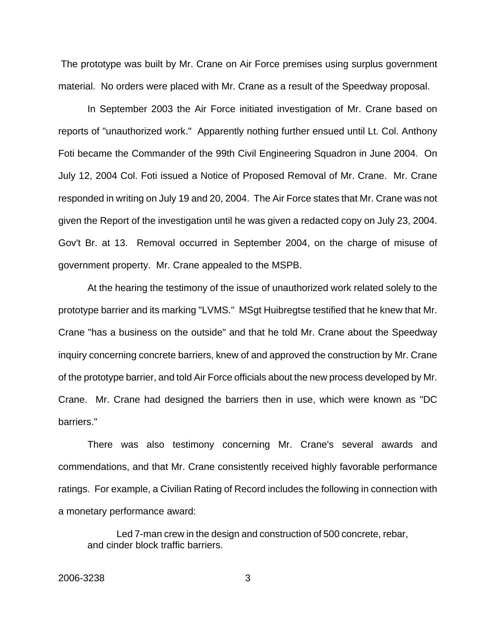The prototype was built by Mr. Crane on Air Force premises using surplus government material. No orders were placed with Mr. Crane as a result of the Speedway proposal.

In September 2003 the Air Force initiated investigation of Mr. Crane based on reports of "unauthorized work." Apparently nothing further ensued until Lt. Col. Anthony Foti became the Commander of the 99th Civil Engineering Squadron in June 2004. On July 12, 2004 Col. Foti issued a Notice of Proposed Removal of Mr. Crane. Mr. Crane responded in writing on July 19 and 20, 2004. The Air Force states that Mr. Crane was not given the Report of the investigation until he was given a redacted copy on July 23, 2004. Gov't Br. at 13. Removal occurred in September 2004, on the charge of misuse of government property. Mr. Crane appealed to the MSPB.

At the hearing the testimony of the issue of unauthorized work related solely to the prototype barrier and its marking "LVMS." MSgt Huibregtse testified that he knew that Mr. Crane "has a business on the outside" and that he told Mr. Crane about the Speedway inquiry concerning concrete barriers, knew of and approved the construction by Mr. Crane of the prototype barrier, and told Air Force officials about the new process developed by Mr. Crane. Mr. Crane had designed the barriers then in use, which were known as "DC barriers."

There was also testimony concerning Mr. Crane's several awards and commendations, and that Mr. Crane consistently received highly favorable performance ratings. For example, a Civilian Rating of Record includes the following in connection with a monetary performance award:

Led 7-man crew in the design and construction of 500 concrete, rebar, and cinder block traffic barriers.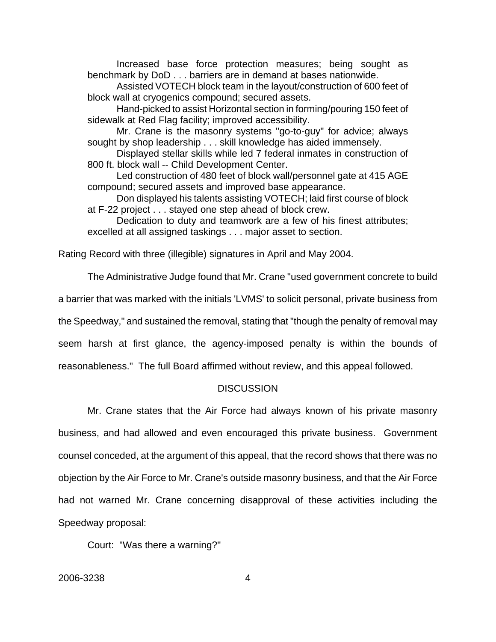Increased base force protection measures; being sought as benchmark by DoD . . . barriers are in demand at bases nationwide.

Assisted VOTECH block team in the layout/construction of 600 feet of block wall at cryogenics compound; secured assets.

Hand-picked to assist Horizontal section in forming/pouring 150 feet of sidewalk at Red Flag facility; improved accessibility.

Mr. Crane is the masonry systems "go-to-guy" for advice; always sought by shop leadership . . . skill knowledge has aided immensely.

Displayed stellar skills while led 7 federal inmates in construction of 800 ft. block wall -- Child Development Center.

Led construction of 480 feet of block wall/personnel gate at 415 AGE compound; secured assets and improved base appearance.

Don displayed his talents assisting VOTECH; laid first course of block at F-22 project . . . stayed one step ahead of block crew.

Dedication to duty and teamwork are a few of his finest attributes; excelled at all assigned taskings . . . major asset to section.

Rating Record with three (illegible) signatures in April and May 2004.

The Administrative Judge found that Mr. Crane "used government concrete to build a barrier that was marked with the initials 'LVMS' to solicit personal, private business from the Speedway," and sustained the removal, stating that "though the penalty of removal may seem harsh at first glance, the agency-imposed penalty is within the bounds of reasonableness." The full Board affirmed without review, and this appeal followed.

#### **DISCUSSION**

Mr. Crane states that the Air Force had always known of his private masonry

business, and had allowed and even encouraged this private business. Government counsel conceded, at the argument of this appeal, that the record shows that there was no objection by the Air Force to Mr. Crane's outside masonry business, and that the Air Force had not warned Mr. Crane concerning disapproval of these activities including the Speedway proposal:

Court: "Was there a warning?"

2006-3238 4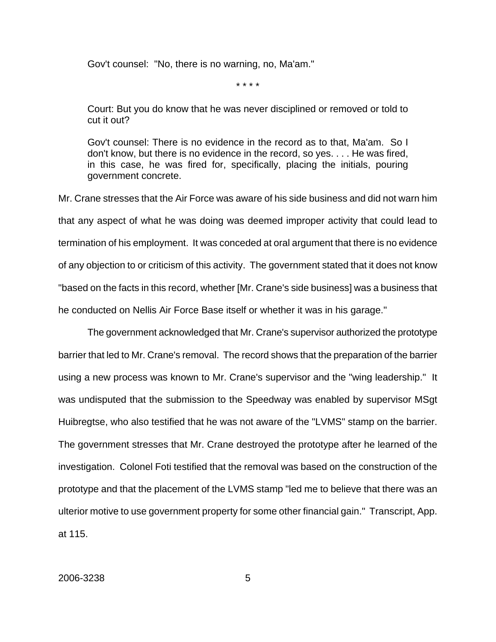Gov't counsel: "No, there is no warning, no, Ma'am."

\* \* \* \*

Court: But you do know that he was never disciplined or removed or told to cut it out?

Gov't counsel: There is no evidence in the record as to that, Ma'am. So I don't know, but there is no evidence in the record, so yes. . . . He was fired, in this case, he was fired for, specifically, placing the initials, pouring government concrete.

Mr. Crane stresses that the Air Force was aware of his side business and did not warn him that any aspect of what he was doing was deemed improper activity that could lead to termination of his employment. It was conceded at oral argument that there is no evidence of any objection to or criticism of this activity. The government stated that it does not know "based on the facts in this record, whether [Mr. Crane's side business] was a business that he conducted on Nellis Air Force Base itself or whether it was in his garage."

The government acknowledged that Mr. Crane's supervisor authorized the prototype barrier that led to Mr. Crane's removal. The record shows that the preparation of the barrier using a new process was known to Mr. Crane's supervisor and the "wing leadership." It was undisputed that the submission to the Speedway was enabled by supervisor MSgt Huibregtse, who also testified that he was not aware of the "LVMS" stamp on the barrier. The government stresses that Mr. Crane destroyed the prototype after he learned of the investigation. Colonel Foti testified that the removal was based on the construction of the prototype and that the placement of the LVMS stamp "led me to believe that there was an ulterior motive to use government property for some other financial gain." Transcript, App. at 115.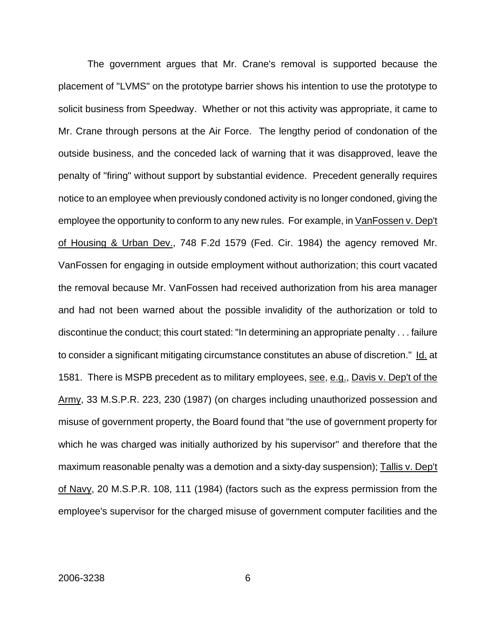The government argues that Mr. Crane's removal is supported because the placement of "LVMS" on the prototype barrier shows his intention to use the prototype to solicit business from Speedway. Whether or not this activity was appropriate, it came to Mr. Crane through persons at the Air Force. The lengthy period of condonation of the outside business, and the conceded lack of warning that it was disapproved, leave the penalty of "firing" without support by substantial evidence. Precedent generally requires notice to an employee when previously condoned activity is no longer condoned, giving the employee the opportunity to conform to any new rules. For example, in VanFossen v. Dep't of Housing & Urban Dev., 748 F.2d 1579 (Fed. Cir. 1984) the agency removed Mr. VanFossen for engaging in outside employment without authorization; this court vacated the removal because Mr. VanFossen had received authorization from his area manager and had not been warned about the possible invalidity of the authorization or told to discontinue the conduct; this court stated: "In determining an appropriate penalty . . . failure to consider a significant mitigating circumstance constitutes an abuse of discretion." Id. at 1581. There is MSPB precedent as to military employees, see, e.g., Davis v. Dep't of the Army, 33 M.S.P.R. 223, 230 (1987) (on charges including unauthorized possession and misuse of government property, the Board found that "the use of government property for which he was charged was initially authorized by his supervisor" and therefore that the maximum reasonable penalty was a demotion and a sixty-day suspension); Tallis v. Dep't of Navy, 20 M.S.P.R. 108, 111 (1984) (factors such as the express permission from the employee's supervisor for the charged misuse of government computer facilities and the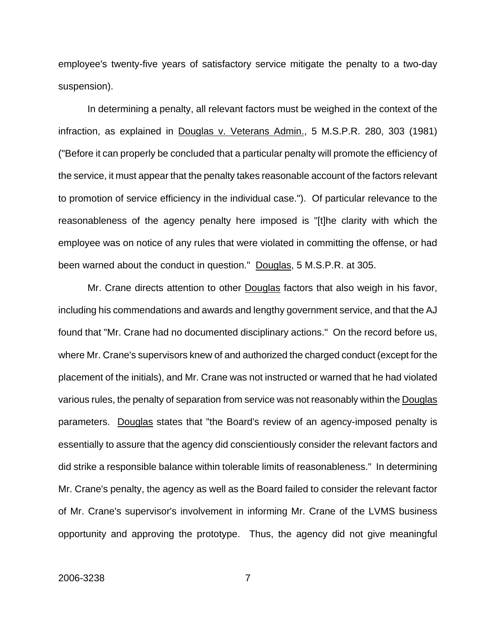employee's twenty-five years of satisfactory service mitigate the penalty to a two-day suspension).

In determining a penalty, all relevant factors must be weighed in the context of the infraction, as explained in Douglas v. Veterans Admin., 5 M.S.P.R. 280, 303 (1981) ("Before it can properly be concluded that a particular penalty will promote the efficiency of the service, it must appear that the penalty takes reasonable account of the factors relevant to promotion of service efficiency in the individual case."). Of particular relevance to the reasonableness of the agency penalty here imposed is "[t]he clarity with which the employee was on notice of any rules that were violated in committing the offense, or had been warned about the conduct in question." Douglas, 5 M.S.P.R. at 305.

Mr. Crane directs attention to other Douglas factors that also weigh in his favor, including his commendations and awards and lengthy government service, and that the AJ found that "Mr. Crane had no documented disciplinary actions." On the record before us, where Mr. Crane's supervisors knew of and authorized the charged conduct (except for the placement of the initials), and Mr. Crane was not instructed or warned that he had violated various rules, the penalty of separation from service was not reasonably within the Douglas parameters. Douglas states that "the Board's review of an agency-imposed penalty is essentially to assure that the agency did conscientiously consider the relevant factors and did strike a responsible balance within tolerable limits of reasonableness." In determining Mr. Crane's penalty, the agency as well as the Board failed to consider the relevant factor of Mr. Crane's supervisor's involvement in informing Mr. Crane of the LVMS business opportunity and approving the prototype. Thus, the agency did not give meaningful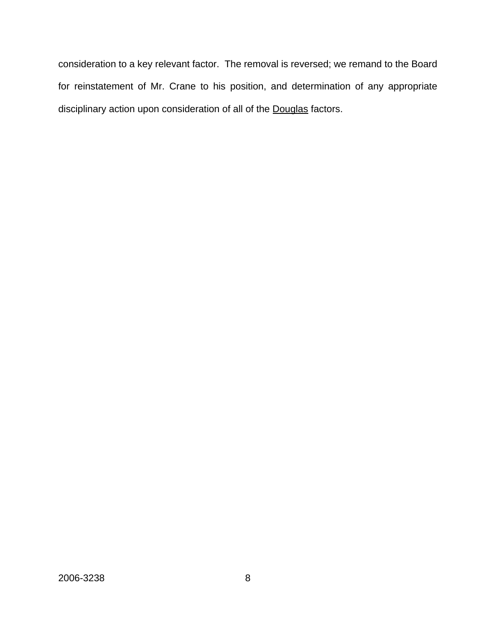consideration to a key relevant factor. The removal is reversed; we remand to the Board for reinstatement of Mr. Crane to his position, and determination of any appropriate disciplinary action upon consideration of all of the Douglas factors.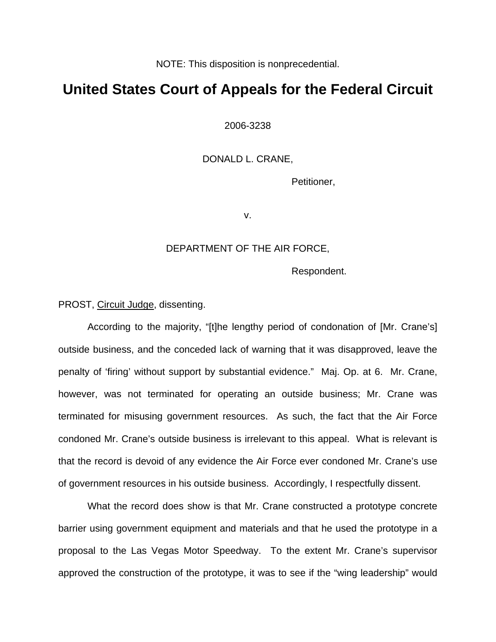NOTE: This disposition is nonprecedential.

## **United States Court of Appeals for the Federal Circuit**

2006-3238

DONALD L. CRANE,

Petitioner,

v.

#### DEPARTMENT OF THE AIR FORCE,

Respondent.

PROST, Circuit Judge, dissenting.

According to the majority, "[t]he lengthy period of condonation of [Mr. Crane's] outside business, and the conceded lack of warning that it was disapproved, leave the penalty of 'firing' without support by substantial evidence." Maj. Op. at 6. Mr. Crane, however, was not terminated for operating an outside business; Mr. Crane was terminated for misusing government resources. As such, the fact that the Air Force condoned Mr. Crane's outside business is irrelevant to this appeal. What is relevant is that the record is devoid of any evidence the Air Force ever condoned Mr. Crane's use of government resources in his outside business. Accordingly, I respectfully dissent.

What the record does show is that Mr. Crane constructed a prototype concrete barrier using government equipment and materials and that he used the prototype in a proposal to the Las Vegas Motor Speedway. To the extent Mr. Crane's supervisor approved the construction of the prototype, it was to see if the "wing leadership" would